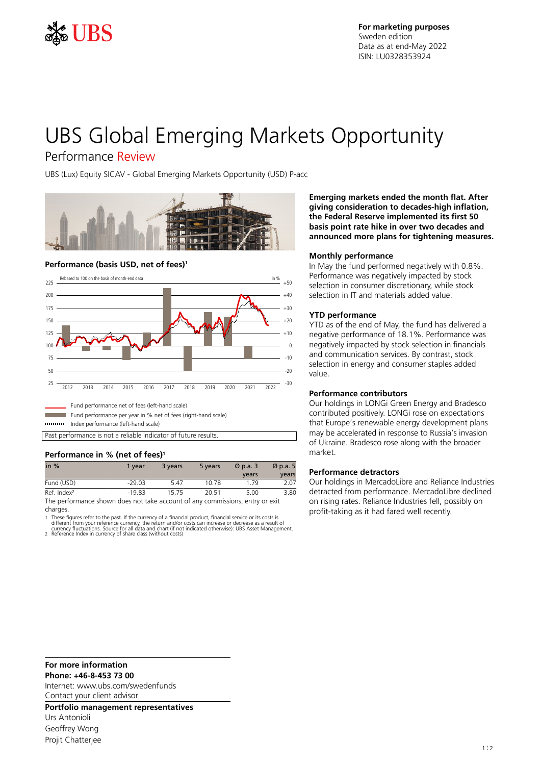

# UBS Global Emerging Markets Opportunity

# Performance Review

UBS (Lux) Equity SICAV - Global Emerging Markets Opportunity (USD) P-acc



## **Performance (basis USD, net of fees)<sup>1</sup>**



Index performance (left-hand scale)

Past performance is not a reliable indicator of future results.

## **Performance in % (net of fees)<sup>1</sup>**

| in $%$                                                                        | 1 vear   | 3 years | 5 years | $\varnothing$ p.a. 3 | $\varnothing$ p.a. 5 |
|-------------------------------------------------------------------------------|----------|---------|---------|----------------------|----------------------|
|                                                                               |          |         |         | vears                | years                |
| Fund (USD)                                                                    | $-29.03$ | 5.47    | 10.78   | 179                  | 2.07                 |
| Ref. Index <sup>2</sup>                                                       | $-19.83$ | 1575    | 20.51   | 5.00                 | 3.80                 |
| The performance shown does not take account of any commissions, ontar or ovit |          |         |         |                      |                      |

performance shown does not take account of any commissions, entry or exit charges.

1 These figures refer to the past. If the currency of a financial product, financial service or its costs is<br>16 different from your reference currency, the return and/or costs can increase or decrease as a result of<br>16 cur

2 Reference Index in currency of share class (without costs)

**Emerging markets ended the month flat. After giving consideration to decades-high inflation, the Federal Reserve implemented its first 50 basis point rate hike in over two decades and announced more plans for tightening measures.**

### **Monthly performance**

In May the fund performed negatively with 0.8%. Performance was negatively impacted by stock selection in consumer discretionary, while stock selection in IT and materials added value.

### **YTD performance**

YTD as of the end of May, the fund has delivered a negative performance of 18.1%. Performance was negatively impacted by stock selection in financials and communication services. By contrast, stock selection in energy and consumer staples added value.

## **Performance contributors**

Our holdings in LONGi Green Energy and Bradesco contributed positively. LONGi rose on expectations that Europe's renewable energy development plans may be accelerated in response to Russia's invasion of Ukraine. Bradesco rose along with the broader market.

## **Performance detractors**

Our holdings in MercadoLibre and Reliance Industries detracted from performance. MercadoLibre declined on rising rates. Reliance Industries fell, possibly on profit-taking as it had fared well recently.

#### **For more information**

**Phone: +46-8-453 73 00**

Internet: www.ubs.com/swedenfunds Contact your client advisor

**Portfolio management representatives**

Urs Antonioli Geoffrey Wong Projit Chatteriee